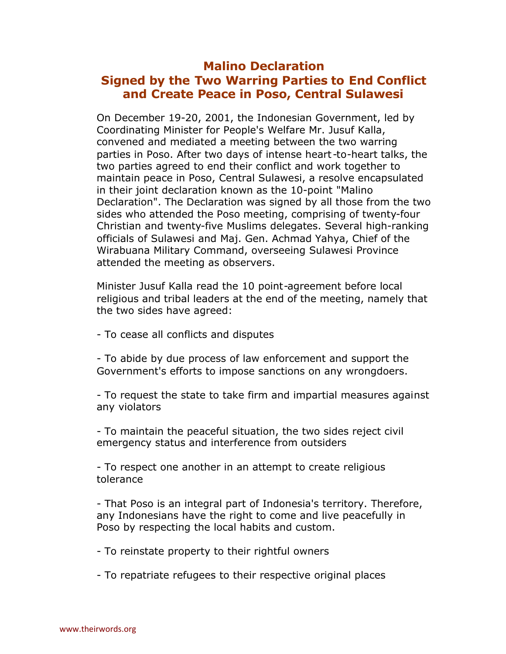## **Malino Declaration Signed by the Two Warring Parties to End Conflict and Create Peace in Poso, Central Sulawesi**

On December 19-20, 2001, the Indonesian Government, led by Coordinating Minister for People's Welfare Mr. Jusuf Kalla, convened and mediated a meeting between the two warring parties in Poso. After two days of intense heart -to-heart talks, the two parties agreed to end their conflict and work together to maintain peace in Poso, Central Sulawesi, a resolve encapsulated in their joint declaration known as the 10-point "Malino Declaration". The Declaration was signed by all those from the two sides who attended the Poso meeting, comprising of twenty-four Christian and twenty-five Muslims delegates. Several high-ranking officials of Sulawesi and Maj. Gen. Achmad Yahya, Chief of the Wirabuana Military Command, overseeing Sulawesi Province attended the meeting as observers.

Minister Jusuf Kalla read the 10 point-agreement before local religious and tribal leaders at the end of the meeting, namely that the two sides have agreed:

- To cease all conflicts and disputes

- To abide by due process of law enforcement and support the Government's efforts to impose sanctions on any wrongdoers.

- To request the state to take firm and impartial measures against any violators

- To maintain the peaceful situation, the two sides reject civil emergency status and interference from outsiders

- To respect one another in an attempt to create religious tolerance

- That Poso is an integral part of Indonesia's territory. Therefore, any Indonesians have the right to come and live peacefully in Poso by respecting the local habits and custom.

- To reinstate property to their rightful owners

- To repatriate refugees to their respective original places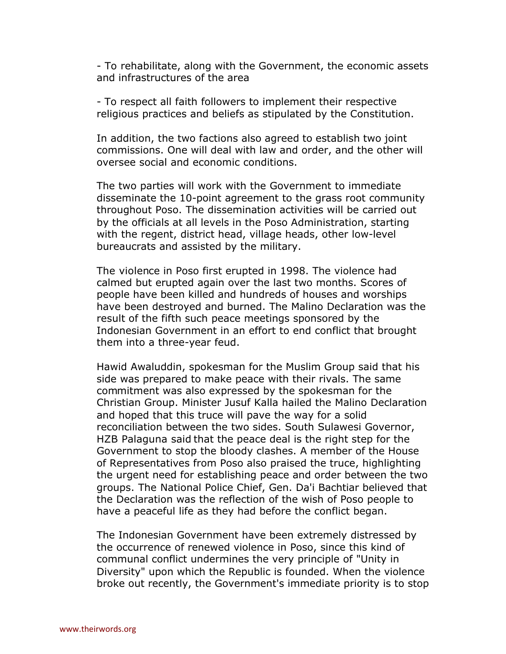- To rehabilitate, along with the Government, the economic assets and infrastructures of the area

- To respect all faith followers to implement their respective religious practices and beliefs as stipulated by the Constitution.

In addition, the two factions also agreed to establish two joint commissions. One will deal with law and order, and the other will oversee social and economic conditions.

The two parties will work with the Government to immediate disseminate the 10-point agreement to the grass root community throughout Poso. The dissemination activities will be carried out by the officials at all levels in the Poso Administration, starting with the regent, district head, village heads, other low-level bureaucrats and assisted by the military.

The violence in Poso first erupted in 1998. The violence had calmed but erupted again over the last two months. Scores of people have been killed and hundreds of houses and worships have been destroyed and burned. The Malino Declaration was the result of the fifth such peace meetings sponsored by the Indonesian Government in an effort to end conflict that brought them into a three-year feud.

Hawid Awaluddin, spokesman for the Muslim Group said that his side was prepared to make peace with their rivals. The same commitment was also expressed by the spokesman for the Christian Group. Minister Jusuf Kalla hailed the Malino Declaration and hoped that this truce will pave the way for a solid reconciliation between the two sides. South Sulawesi Governor, HZB Palaguna said that the peace deal is the right step for the Government to stop the bloody clashes. A member of the House of Representatives from Poso also praised the truce, highlighting the urgent need for establishing peace and order between the two groups. The National Police Chief, Gen. Da'i Bachtiar believed that the Declaration was the reflection of the wish of Poso people to have a peaceful life as they had before the conflict began.

The Indonesian Government have been extremely distressed by the occurrence of renewed violence in Poso, since this kind of communal conflict undermines the very principle of "Unity in Diversity" upon which the Republic is founded. When the violence broke out recently, the Government's immediate priority is to stop